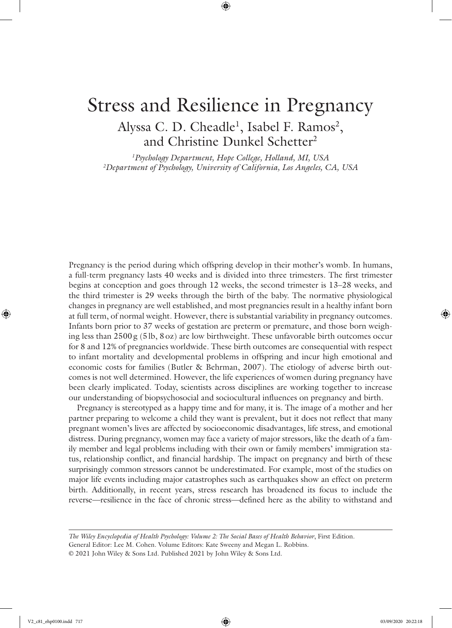# Stress and Resilience in Pregnancy Alyssa C. D. Cheadle<sup>1</sup>, Isabel F. Ramos<sup>2</sup>, and Christine Dunkel Schetter<sup>2</sup>

*1 Psychology Department, Hope College, Holland, MI, USA 2 Department of Psychology, University of California, Los Angeles, CA, USA*

Pregnancy is the period during which offspring develop in their mother's womb. In humans, a full-term pregnancy lasts 40 weeks and is divided into three trimesters. The first trimester begins at conception and goes through 12 weeks, the second trimester is 13–28 weeks, and the third trimester is 29 weeks through the birth of the baby. The normative physiological changes in pregnancy are well established, and most pregnancies result in a healthy infant born at full term, of normal weight. However, there is substantial variability in pregnancy outcomes. Infants born prior to 37 weeks of gestation are preterm or premature, and those born weighing less than  $2500g(5lb, 8oz)$  are low birthweight. These unfavorable birth outcomes occur for 8 and 12% of pregnancies worldwide. These birth outcomes are consequential with respect to infant mortality and developmental problems in offspring and incur high emotional and economic costs for families (Butler & Behrman, 2007). The etiology of adverse birth outcomes is not well determined. However, the life experiences of women during pregnancy have been clearly implicated. Today, scientists across disciplines are working together to increase our understanding of biopsychosocial and sociocultural influences on pregnancy and birth.

Pregnancy is stereotyped as a happy time and for many, it is. The image of a mother and her partner preparing to welcome a child they want is prevalent, but it does not reflect that many pregnant women's lives are affected by socioeconomic disadvantages, life stress, and emotional distress. During pregnancy, women may face a variety of major stressors, like the death of a family member and legal problems including with their own or family members' immigration status, relationship conflict, and financial hardship. The impact on pregnancy and birth of these surprisingly common stressors cannot be underestimated. For example, most of the studies on major life events including major catastrophes such as earthquakes show an effect on preterm birth. Additionally, in recent years, stress research has broadened its focus to include the reverse—resilience in the face of chronic stress—defined here as the ability to withstand and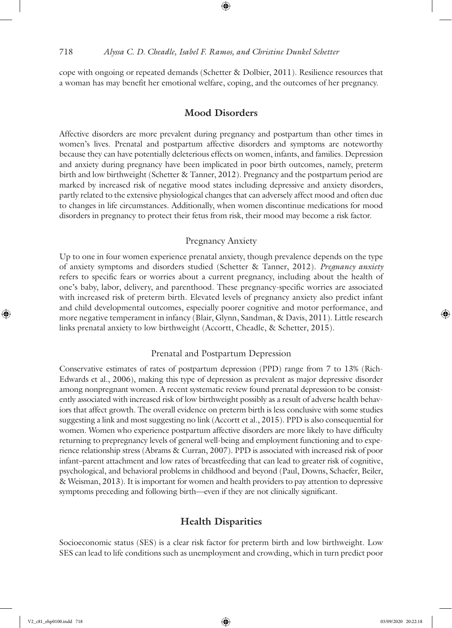cope with ongoing or repeated demands (Schetter & Dolbier, 2011). Resilience resources that a woman has may benefit her emotional welfare, coping, and the outcomes of her pregnancy.

# **Mood Disorders**

Affective disorders are more prevalent during pregnancy and postpartum than other times in women's lives. Prenatal and postpartum affective disorders and symptoms are noteworthy because they can have potentially deleterious effects on women, infants, and families. Depression and anxiety during pregnancy have been implicated in poor birth outcomes, namely, preterm birth and low birthweight (Schetter & Tanner, 2012). Pregnancy and the postpartum period are marked by increased risk of negative mood states including depressive and anxiety disorders, partly related to the extensive physiological changes that can adversely affect mood and often due to changes in life circumstances. Additionally, when women discontinue medications for mood disorders in pregnancy to protect their fetus from risk, their mood may become a risk factor.

#### Pregnancy Anxiety

Up to one in four women experience prenatal anxiety, though prevalence depends on the type of anxiety symptoms and disorders studied (Schetter & Tanner, 2012). *Pregnancy anxiety* refers to specific fears or worries about a current pregnancy, including about the health of one's baby, labor, delivery, and parenthood. These pregnancy‐specific worries are associated with increased risk of preterm birth. Elevated levels of pregnancy anxiety also predict infant and child developmental outcomes, especially poorer cognitive and motor performance, and more negative temperament in infancy (Blair, Glynn, Sandman, & Davis, 2011). Little research links prenatal anxiety to low birthweight (Accortt, Cheadle, & Schetter, 2015).

#### Prenatal and Postpartum Depression

Conservative estimates of rates of postpartum depression (PPD) range from 7 to 13% (Rich‐ Edwards et al., 2006), making this type of depression as prevalent as major depressive disorder among nonpregnant women. A recent systematic review found prenatal depression to be consistently associated with increased risk of low birthweight possibly as a result of adverse health behaviors that affect growth. The overall evidence on preterm birth is less conclusive with some studies suggesting a link and most suggesting no link (Accortt et al., 2015). PPD is also consequential for women. Women who experience postpartum affective disorders are more likely to have difficulty returning to prepregnancy levels of general well‐being and employment functioning and to experience relationship stress (Abrams & Curran, 2007). PPD is associated with increased risk of poor infant–parent attachment and low rates of breastfeeding that can lead to greater risk of cognitive, psychological, and behavioral problems in childhood and beyond (Paul, Downs, Schaefer, Beiler, & Weisman, 2013). It is important for women and health providers to pay attention to depressive symptoms preceding and following birth—even if they are not clinically significant.

### **Health Disparities**

Socioeconomic status (SES) is a clear risk factor for preterm birth and low birthweight. Low SES can lead to life conditions such as unemployment and crowding, which in turn predict poor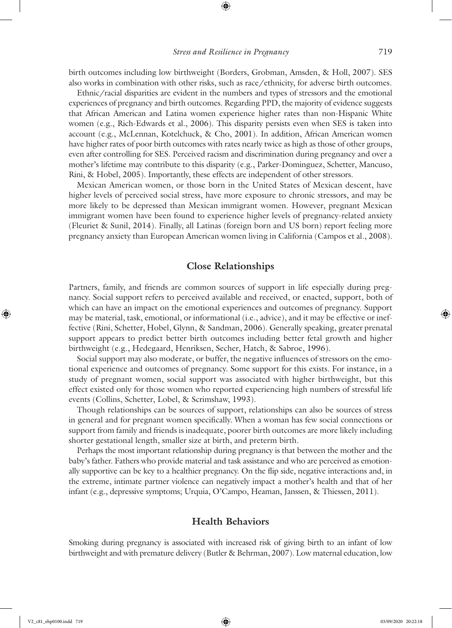birth outcomes including low birthweight (Borders, Grobman, Amsden, & Holl, 2007). SES also works in combination with other risks, such as race/ethnicity, for adverse birth outcomes.

Ethnic/racial disparities are evident in the numbers and types of stressors and the emotional experiences of pregnancy and birth outcomes. Regarding PPD, the majority of evidence suggests that African American and Latina women experience higher rates than non‐Hispanic White women (e.g., Rich-Edwards et al., 2006). This disparity persists even when SES is taken into account (e.g., McLennan, Kotelchuck, & Cho, 2001). In addition, African American women have higher rates of poor birth outcomes with rates nearly twice as high as those of other groups, even after controlling for SES. Perceived racism and discrimination during pregnancy and over a mother's lifetime may contribute to this disparity (e.g., Parker‐Dominguez, Schetter, Mancuso, Rini, & Hobel, 2005). Importantly, these effects are independent of other stressors.

Mexican American women, or those born in the United States of Mexican descent, have higher levels of perceived social stress, have more exposure to chronic stressors, and may be more likely to be depressed than Mexican immigrant women. However, pregnant Mexican immigrant women have been found to experience higher levels of pregnancy-related anxiety (Fleuriet & Sunil, 2014). Finally, all Latinas (foreign born and US born) report feeling more pregnancy anxiety than European American women living in California (Campos et al., 2008).

# **Close Relationships**

Partners, family, and friends are common sources of support in life especially during pregnancy. Social support refers to perceived available and received, or enacted, support, both of which can have an impact on the emotional experiences and outcomes of pregnancy. Support may be material, task, emotional, or informational (i.e., advice), and it may be effective or ineffective (Rini, Schetter, Hobel, Glynn, & Sandman, 2006). Generally speaking, greater prenatal support appears to predict better birth outcomes including better fetal growth and higher birthweight (e.g., Hedegaard, Henriksen, Secher, Hatch, & Sabroe, 1996).

Social support may also moderate, or buffer, the negative influences of stressors on the emotional experience and outcomes of pregnancy. Some support for this exists. For instance, in a study of pregnant women, social support was associated with higher birthweight, but this effect existed only for those women who reported experiencing high numbers of stressful life events (Collins, Schetter, Lobel, & Scrimshaw, 1993).

Though relationships can be sources of support, relationships can also be sources of stress in general and for pregnant women specifically. When a woman has few social connections or support from family and friends is inadequate, poorer birth outcomes are more likely including shorter gestational length, smaller size at birth, and preterm birth.

Perhaps the most important relationship during pregnancy is that between the mother and the baby's father. Fathers who provide material and task assistance and who are perceived as emotionally supportive can be key to a healthier pregnancy. On the flip side, negative interactions and, in the extreme, intimate partner violence can negatively impact a mother's health and that of her infant (e.g., depressive symptoms; Urquia, O'Campo, Heaman, Janssen, & Thiessen, 2011).

# **Health Behaviors**

Smoking during pregnancy is associated with increased risk of giving birth to an infant of low birthweight and with premature delivery (Butler & Behrman, 2007). Low maternal education, low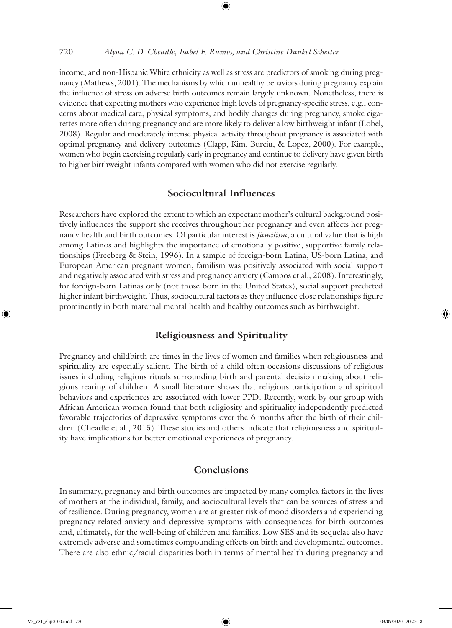income, and non‐Hispanic White ethnicity as well as stress are predictors of smoking during pregnancy (Mathews, 2001). The mechanisms by which unhealthy behaviors during pregnancy explain the influence of stress on adverse birth outcomes remain largely unknown. Nonetheless, there is evidence that expecting mothers who experience high levels of pregnancy-specific stress, e.g., concerns about medical care, physical symptoms, and bodily changes during pregnancy, smoke cigarettes more often during pregnancy and are more likely to deliver a low birthweight infant (Lobel, 2008). Regular and moderately intense physical activity throughout pregnancy is associated with optimal pregnancy and delivery outcomes (Clapp, Kim, Burciu, & Lopez, 2000). For example, women who begin exercising regularly early in pregnancy and continue to delivery have given birth to higher birthweight infants compared with women who did not exercise regularly.

# **Sociocultural Influences**

Researchers have explored the extent to which an expectant mother's cultural background positively influences the support she receives throughout her pregnancy and even affects her pregnancy health and birth outcomes. Of particular interest is *familism*, a cultural value that is high among Latinos and highlights the importance of emotionally positive, supportive family relationships (Freeberg & Stein, 1996). In a sample of foreign‐born Latina, US‐born Latina, and European American pregnant women, familism was positively associated with social support and negatively associated with stress and pregnancy anxiety (Campos et al., 2008). Interestingly, for foreign‐born Latinas only (not those born in the United States), social support predicted higher infant birthweight. Thus, sociocultural factors as they influence close relationships figure prominently in both maternal mental health and healthy outcomes such as birthweight.

# **Religiousness and Spirituality**

Pregnancy and childbirth are times in the lives of women and families when religiousness and spirituality are especially salient. The birth of a child often occasions discussions of religious issues including religious rituals surrounding birth and parental decision making about religious rearing of children. A small literature shows that religious participation and spiritual behaviors and experiences are associated with lower PPD. Recently, work by our group with African American women found that both religiosity and spirituality independently predicted favorable trajectories of depressive symptoms over the 6 months after the birth of their children (Cheadle et al., 2015). These studies and others indicate that religiousness and spirituality have implications for better emotional experiences of pregnancy.

## **Conclusions**

In summary, pregnancy and birth outcomes are impacted by many complex factors in the lives of mothers at the individual, family, and sociocultural levels that can be sources of stress and of resilience. During pregnancy, women are at greater risk of mood disorders and experiencing pregnancy‐related anxiety and depressive symptoms with consequences for birth outcomes and, ultimately, for the well‐being of children and families. Low SES and its sequelae also have extremely adverse and sometimes compounding effects on birth and developmental outcomes. There are also ethnic/racial disparities both in terms of mental health during pregnancy and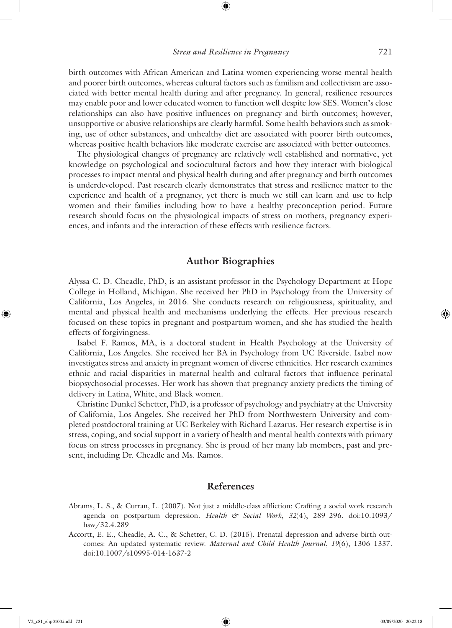birth outcomes with African American and Latina women experiencing worse mental health and poorer birth outcomes, whereas cultural factors such as familism and collectivism are associated with better mental health during and after pregnancy. In general, resilience resources may enable poor and lower educated women to function well despite low SES. Women's close relationships can also have positive influences on pregnancy and birth outcomes; however, unsupportive or abusive relationships are clearly harmful. Some health behaviors such as smoking, use of other substances, and unhealthy diet are associated with poorer birth outcomes, whereas positive health behaviors like moderate exercise are associated with better outcomes.

The physiological changes of pregnancy are relatively well established and normative, yet knowledge on psychological and sociocultural factors and how they interact with biological processes to impact mental and physical health during and after pregnancy and birth outcomes is underdeveloped. Past research clearly demonstrates that stress and resilience matter to the experience and health of a pregnancy, yet there is much we still can learn and use to help women and their families including how to have a healthy preconception period. Future research should focus on the physiological impacts of stress on mothers, pregnancy experiences, and infants and the interaction of these effects with resilience factors.

#### **Author Biographies**

Alyssa C. D. Cheadle, PhD, is an assistant professor in the Psychology Department at Hope College in Holland, Michigan. She received her PhD in Psychology from the University of California, Los Angeles, in 2016. She conducts research on religiousness, spirituality, and mental and physical health and mechanisms underlying the effects. Her previous research focused on these topics in pregnant and postpartum women, and she has studied the health effects of forgivingness.

Isabel F. Ramos, MA, is a doctoral student in Health Psychology at the University of California, Los Angeles. She received her BA in Psychology from UC Riverside. Isabel now investigates stress and anxiety in pregnant women of diverse ethnicities. Her research examines ethnic and racial disparities in maternal health and cultural factors that influence perinatal biopsychosocial processes. Her work has shown that pregnancy anxiety predicts the timing of delivery in Latina, White, and Black women.

Christine Dunkel Schetter, PhD, is a professor of psychology and psychiatry at the University of California, Los Angeles. She received her PhD from Northwestern University and completed postdoctoral training at UC Berkeley with Richard Lazarus. Her research expertise is in stress, coping, and social support in a variety of health and mental health contexts with primary focus on stress processes in pregnancy. She is proud of her many lab members, past and present, including Dr. Cheadle and Ms. Ramos.

#### **References**

- Abrams, L. S., & Curran, L. (2007). Not just a middle‐class affliction: Crafting a social work research agenda on postpartum depression. *Health & Social Work*, *32*(4), 289–296. doi:10.1093/ hsw/32.4.289
- Accortt, E. E., Cheadle, A. C., & Schetter, C. D. (2015). Prenatal depression and adverse birth outcomes: An updated systematic review. *Maternal and Child Health Journal*, *19*(6), 1306–1337. doi:10.1007/s10995‐014‐1637‐2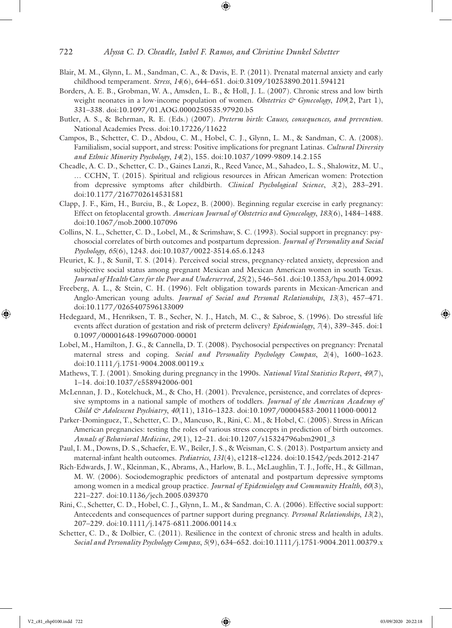- Blair, M. M., Glynn, L. M., Sandman, C. A., & Davis, E. P. (2011). Prenatal maternal anxiety and early childhood temperament. *Stress*, *14*(6), 644–651. doi:0.3109/10253890.2011.594121
- Borders, A. E. B., Grobman, W. A., Amsden, L. B., & Holl, J. L. (2007). Chronic stress and low birth weight neonates in a low-income population of women. *Obstetrics*  $\mathcal{O}$  Gynecology, 109(2, Part 1), 331–338. doi:10.1097/01.AOG.0000250535.97920.b5
- Butler, A. S., & Behrman, R. E. (Eds.) (2007). *Preterm birth: Causes, consequences, and prevention*. National Academies Press. doi:10.17226/11622
- Campos, B., Schetter, C. D., Abdou, C. M., Hobel, C. J., Glynn, L. M., & Sandman, C. A. (2008). Familialism, social support, and stress: Positive implications for pregnant Latinas. *Cultural Diversity and Ethnic Minority Psychology*, *14*(2), 155. doi:10.1037/1099‐9809.14.2.155
- Cheadle, A. C. D., Schetter, C. D., Gaines Lanzi, R., Reed Vance, M., Sahadeo, L. S., Shalowitz, M. U., … CCHN, T. (2015). Spiritual and religious resources in African American women: Protection from depressive symptoms after childbirth. *Clinical Psychological Science*, *3*(2), 283–291. doi:10.1177/2167702614531581
- Clapp, J. F., Kim, H., Burciu, B., & Lopez, B. (2000). Beginning regular exercise in early pregnancy: Effect on fetoplacental growth. *American Journal of Obstetrics and Gynecology*, *183*(6), 1484–1488. doi:10.1067/mob.2000.107096
- Collins, N. L., Schetter, C. D., Lobel, M., & Scrimshaw, S. C. (1993). Social support in pregnancy: psychosocial correlates of birth outcomes and postpartum depression. *Journal of Personality and Social Psychology*, *65*(6), 1243. doi:10.1037/0022‐3514.65.6.1243
- Fleuriet, K. J., & Sunil, T. S. (2014). Perceived social stress, pregnancy-related anxiety, depression and subjective social status among pregnant Mexican and Mexican American women in south Texas. *Journal of Health Care for the Poor and Underserved*, *25*(2), 546–561. doi:10.1353/hpu.2014.0092
- Freeberg, A. L., & Stein, C. H. (1996). Felt obligation towards parents in Mexican-American and Anglo‐American young adults. *Journal of Social and Personal Relationships*, *13*(3), 457–471. doi:10.1177/0265407596133009
- Hedegaard, M., Henriksen, T. B., Secher, N. J., Hatch, M. C., & Sabroe, S. (1996). Do stressful life events affect duration of gestation and risk of preterm delivery? *Epidemiology*, *7*(4), 339–345. doi:1 0.1097/00001648‐199607000‐00001
- Lobel, M., Hamilton, J. G., & Cannella, D. T. (2008). Psychosocial perspectives on pregnancy: Prenatal maternal stress and coping. *Social and Personality Psychology Compass*, *2*(4), 1600–1623. doi:10.1111/j.1751‐9004.2008.00119.x
- Mathews, T. J. (2001). Smoking during pregnancy in the 1990s. *National Vital Statistics Report*, *49*(7), 1–14. doi:10.1037/e558942006‐001
- McLennan, J. D., Kotelchuck, M., & Cho, H. (2001). Prevalence, persistence, and correlates of depressive symptoms in a national sample of mothers of toddlers. *Journal of the American Academy of Child & Adolescent Psychiatry*, *40*(11), 1316–1323. doi:10.1097/00004583‐200111000‐00012
- Parker‐Dominguez, T., Schetter, C. D., Mancuso, R., Rini, C. M., & Hobel, C. (2005). Stress in African American pregnancies: testing the roles of various stress concepts in prediction of birth outcomes. *Annals of Behavioral Medicine*, *29*(1), 12–21. doi:10.1207/s15324796abm2901\_3
- Paul, I. M., Downs, D. S., Schaefer, E. W., Beiler, J. S., & Weisman, C. S. (2013). Postpartum anxiety and maternal‐infant health outcomes. *Pediatrics*, *131*(4), e1218–e1224. doi:10.1542/peds.2012‐2147
- Rich‐Edwards, J. W., Kleinman, K., Abrams, A., Harlow, B. L., McLaughlin, T. J., Joffe, H., & Gillman, M. W. (2006). Sociodemographic predictors of antenatal and postpartum depressive symptoms among women in a medical group practice. *Journal of Epidemiology and Community Health*, *60*(3), 221–227. doi:10.1136/jech.2005.039370
- Rini, C., Schetter, C. D., Hobel, C. J., Glynn, L. M., & Sandman, C. A. (2006). Effective social support: Antecedents and consequences of partner support during pregnancy. *Personal Relationships*, *13*(2), 207–229. doi:10.1111/j.1475‐6811.2006.00114.x
- Schetter, C. D., & Dolbier, C. (2011). Resilience in the context of chronic stress and health in adults. *Social and Personality Psychology Compass*, *5*(9), 634–652. doi:10.1111/j.1751‐9004.2011.00379.x